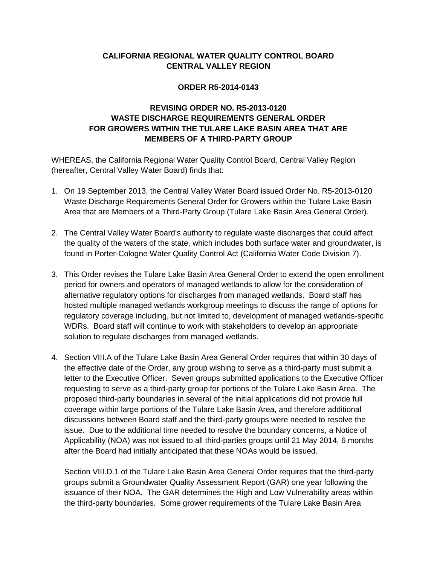# **CALIFORNIA REGIONAL WATER QUALITY CONTROL BOARD CENTRAL VALLEY REGION**

### **ORDER R5-2014-0143**

# **REVISING ORDER NO. R5-2013-0120 WASTE DISCHARGE REQUIREMENTS GENERAL ORDER FOR GROWERS WITHIN THE TULARE LAKE BASIN AREA THAT ARE MEMBERS OF A THIRD-PARTY GROUP**

WHEREAS, the California Regional Water Quality Control Board, Central Valley Region (hereafter, Central Valley Water Board) finds that:

- 1. On 19 September 2013, the Central Valley Water Board issued Order No. R5-2013-0120 Waste Discharge Requirements General Order for Growers within the Tulare Lake Basin Area that are Members of a Third-Party Group (Tulare Lake Basin Area General Order).
- 2. The Central Valley Water Board's authority to regulate waste discharges that could affect the quality of the waters of the state, which includes both surface water and groundwater, is found in Porter-Cologne Water Quality Control Act (California Water Code Division 7).
- 3. This Order revises the Tulare Lake Basin Area General Order to extend the open enrollment period for owners and operators of managed wetlands to allow for the consideration of alternative regulatory options for discharges from managed wetlands. Board staff has hosted multiple managed wetlands workgroup meetings to discuss the range of options for regulatory coverage including, but not limited to, development of managed wetlands-specific WDRs. Board staff will continue to work with stakeholders to develop an appropriate solution to regulate discharges from managed wetlands.
- 4. Section VIII.A of the Tulare Lake Basin Area General Order requires that within 30 days of the effective date of the Order, any group wishing to serve as a third-party must submit a letter to the Executive Officer. Seven groups submitted applications to the Executive Officer requesting to serve as a third-party group for portions of the Tulare Lake Basin Area. The proposed third-party boundaries in several of the initial applications did not provide full coverage within large portions of the Tulare Lake Basin Area, and therefore additional discussions between Board staff and the third-party groups were needed to resolve the issue. Due to the additional time needed to resolve the boundary concerns, a Notice of Applicability (NOA) was not issued to all third-parties groups until 21 May 2014, 6 months after the Board had initially anticipated that these NOAs would be issued.

Section VIII.D.1 of the Tulare Lake Basin Area General Order requires that the third-party groups submit a Groundwater Quality Assessment Report (GAR) one year following the issuance of their NOA. The GAR determines the High and Low Vulnerability areas within the third-party boundaries. Some grower requirements of the Tulare Lake Basin Area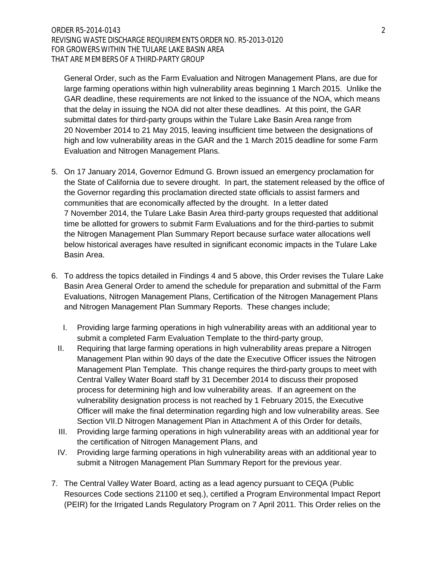General Order, such as the Farm Evaluation and Nitrogen Management Plans, are due for large farming operations within high vulnerability areas beginning 1 March 2015. Unlike the GAR deadline, these requirements are not linked to the issuance of the NOA, which means that the delay in issuing the NOA did not alter these deadlines. At this point, the GAR submittal dates for third-party groups within the Tulare Lake Basin Area range from 20 November 2014 to 21 May 2015, leaving insufficient time between the designations of high and low vulnerability areas in the GAR and the 1 March 2015 deadline for some Farm Evaluation and Nitrogen Management Plans.

- 5. On 17 January 2014, Governor Edmund G. Brown issued an emergency proclamation for the State of California due to severe drought. In part, the statement released by the office of the Governor regarding this proclamation directed state officials to assist farmers and communities that are economically affected by the drought. In a letter dated 7 November 2014, the Tulare Lake Basin Area third-party groups requested that additional time be allotted for growers to submit Farm Evaluations and for the third-parties to submit the Nitrogen Management Plan Summary Report because surface water allocations well below historical averages have resulted in significant economic impacts in the Tulare Lake Basin Area.
- 6. To address the topics detailed in Findings 4 and 5 above, this Order revises the Tulare Lake Basin Area General Order to amend the schedule for preparation and submittal of the Farm Evaluations, Nitrogen Management Plans, Certification of the Nitrogen Management Plans and Nitrogen Management Plan Summary Reports. These changes include;
	- I. Providing large farming operations in high vulnerability areas with an additional year to submit a completed Farm Evaluation Template to the third-party group,
	- II. Requiring that large farming operations in high vulnerability areas prepare a Nitrogen Management Plan within 90 days of the date the Executive Officer issues the Nitrogen Management Plan Template. This change requires the third-party groups to meet with Central Valley Water Board staff by 31 December 2014 to discuss their proposed process for determining high and low vulnerability areas. If an agreement on the vulnerability designation process is not reached by 1 February 2015, the Executive Officer will make the final determination regarding high and low vulnerability areas. See Section VII.D Nitrogen Management Plan in Attachment A of this Order for details,
	- III. Providing large farming operations in high vulnerability areas with an additional year for the certification of Nitrogen Management Plans, and
	- IV. Providing large farming operations in high vulnerability areas with an additional year to submit a Nitrogen Management Plan Summary Report for the previous year.
- 7. The Central Valley Water Board, acting as a lead agency pursuant to CEQA (Public Resources Code sections 21100 et seq.), certified a Program Environmental Impact Report (PEIR) for the Irrigated Lands Regulatory Program on 7 April 2011. This Order relies on the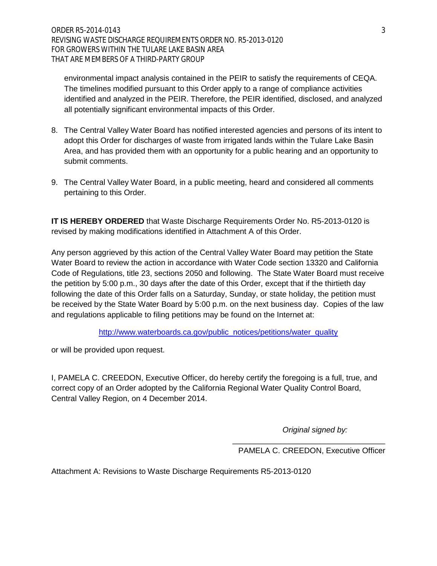environmental impact analysis contained in the PEIR to satisfy the requirements of CEQA. The timelines modified pursuant to this Order apply to a range of compliance activities identified and analyzed in the PEIR. Therefore, the PEIR identified, disclosed, and analyzed all potentially significant environmental impacts of this Order.

- 8. The Central Valley Water Board has notified interested agencies and persons of its intent to adopt this Order for discharges of waste from irrigated lands within the Tulare Lake Basin Area, and has provided them with an opportunity for a public hearing and an opportunity to submit comments.
- 9. The Central Valley Water Board, in a public meeting, heard and considered all comments pertaining to this Order.

**IT IS HEREBY ORDERED** that Waste Discharge Requirements Order No. R5-2013-0120 is revised by making modifications identified in Attachment A of this Order.

Any person aggrieved by this action of the Central Valley Water Board may petition the State Water Board to review the action in accordance with Water Code section 13320 and California Code of Regulations, title 23, sections 2050 and following. The State Water Board must receive the petition by 5:00 p.m., 30 days after the date of this Order, except that if the thirtieth day following the date of this Order falls on a Saturday, Sunday, or state holiday, the petition must be received by the State Water Board by 5:00 p.m. on the next business day. Copies of the law and regulations applicable to filing petitions may be found on the Internet at:

[http://www.waterboards.ca.gov/public\\_notices/petitions/water\\_quality](http://www.waterboards.ca.gov/public_notices/petitions/water_quality)

or will be provided upon request.

I, PAMELA C. CREEDON, Executive Officer, do hereby certify the foregoing is a full, true, and correct copy of an Order adopted by the California Regional Water Quality Control Board, Central Valley Region, on 4 December 2014.

*Original signed by:*

\_\_\_\_\_\_\_\_\_\_\_\_\_\_\_\_\_\_\_\_\_\_\_\_\_\_\_\_\_\_\_\_\_\_\_ PAMELA C. CREEDON, Executive Officer

Attachment A: Revisions to Waste Discharge Requirements R5-2013-0120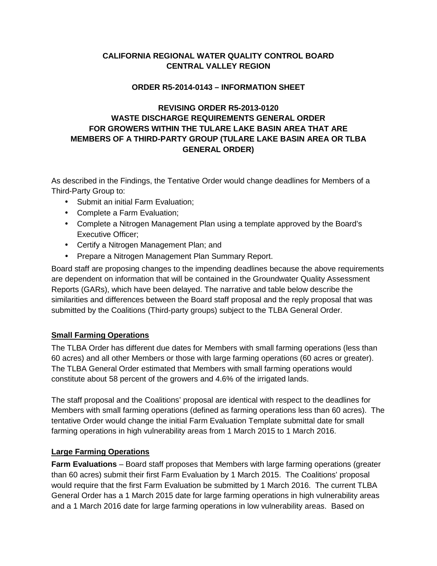# **CALIFORNIA REGIONAL WATER QUALITY CONTROL BOARD CENTRAL VALLEY REGION**

## **ORDER R5-2014-0143 – INFORMATION SHEET**

# **REVISING ORDER R5-2013-0120 WASTE DISCHARGE REQUIREMENTS GENERAL ORDER FOR GROWERS WITHIN THE TULARE LAKE BASIN AREA THAT ARE MEMBERS OF A THIRD-PARTY GROUP (TULARE LAKE BASIN AREA OR TLBA GENERAL ORDER)**

As described in the Findings, the Tentative Order would change deadlines for Members of a Third-Party Group to:

- Submit an initial Farm Evaluation;
- Complete a Farm Evaluation;
- Complete a Nitrogen Management Plan using a template approved by the Board's Executive Officer;
- Certify a Nitrogen Management Plan; and
- Prepare a Nitrogen Management Plan Summary Report.

Board staff are proposing changes to the impending deadlines because the above requirements are dependent on information that will be contained in the Groundwater Quality Assessment Reports (GARs), which have been delayed. The narrative and table below describe the similarities and differences between the Board staff proposal and the reply proposal that was submitted by the Coalitions (Third-party groups) subject to the TLBA General Order.

# **Small Farming Operations**

The TLBA Order has different due dates for Members with small farming operations (less than 60 acres) and all other Members or those with large farming operations (60 acres or greater). The TLBA General Order estimated that Members with small farming operations would constitute about 58 percent of the growers and 4.6% of the irrigated lands.

The staff proposal and the Coalitions' proposal are identical with respect to the deadlines for Members with small farming operations (defined as farming operations less than 60 acres). The tentative Order would change the initial Farm Evaluation Template submittal date for small farming operations in high vulnerability areas from 1 March 2015 to 1 March 2016.

### **Large Farming Operations**

**Farm Evaluations** – Board staff proposes that Members with large farming operations (greater than 60 acres) submit their first Farm Evaluation by 1 March 2015. The Coalitions' proposal would require that the first Farm Evaluation be submitted by 1 March 2016. The current TLBA General Order has a 1 March 2015 date for large farming operations in high vulnerability areas and a 1 March 2016 date for large farming operations in low vulnerability areas. Based on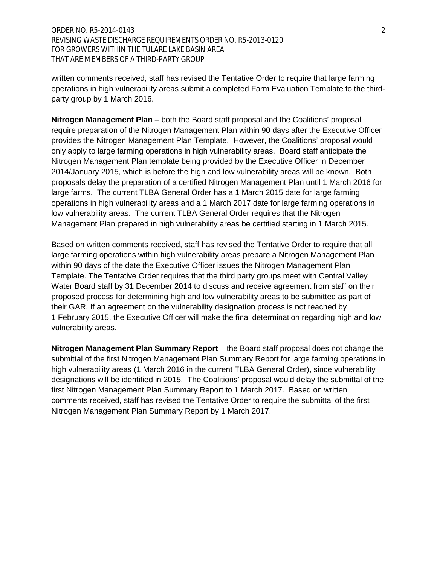ORDER NO. R5-2014-0143 2 REVISING WASTE DISCHARGE REQUIREMENTS ORDER NO. R5-2013-0120 FOR GROWERS WITHIN THE TULARE LAKE BASIN AREA THAT ARE MEMBERS OF A THIRD-PARTY GROUP

written comments received, staff has revised the Tentative Order to require that large farming operations in high vulnerability areas submit a completed Farm Evaluation Template to the thirdparty group by 1 March 2016.

**Nitrogen Management Plan** – both the Board staff proposal and the Coalitions' proposal require preparation of the Nitrogen Management Plan within 90 days after the Executive Officer provides the Nitrogen Management Plan Template. However, the Coalitions' proposal would only apply to large farming operations in high vulnerability areas. Board staff anticipate the Nitrogen Management Plan template being provided by the Executive Officer in December 2014/January 2015, which is before the high and low vulnerability areas will be known. Both proposals delay the preparation of a certified Nitrogen Management Plan until 1 March 2016 for large farms. The current TLBA General Order has a 1 March 2015 date for large farming operations in high vulnerability areas and a 1 March 2017 date for large farming operations in low vulnerability areas. The current TLBA General Order requires that the Nitrogen Management Plan prepared in high vulnerability areas be certified starting in 1 March 2015.

Based on written comments received, staff has revised the Tentative Order to require that all large farming operations within high vulnerability areas prepare a Nitrogen Management Plan within 90 days of the date the Executive Officer issues the Nitrogen Management Plan Template. The Tentative Order requires that the third party groups meet with Central Valley Water Board staff by 31 December 2014 to discuss and receive agreement from staff on their proposed process for determining high and low vulnerability areas to be submitted as part of their GAR. If an agreement on the vulnerability designation process is not reached by 1 February 2015, the Executive Officer will make the final determination regarding high and low vulnerability areas.

**Nitrogen Management Plan Summary Report** – the Board staff proposal does not change the submittal of the first Nitrogen Management Plan Summary Report for large farming operations in high vulnerability areas (1 March 2016 in the current TLBA General Order), since vulnerability designations will be identified in 2015. The Coalitions' proposal would delay the submittal of the first Nitrogen Management Plan Summary Report to 1 March 2017. Based on written comments received, staff has revised the Tentative Order to require the submittal of the first Nitrogen Management Plan Summary Report by 1 March 2017.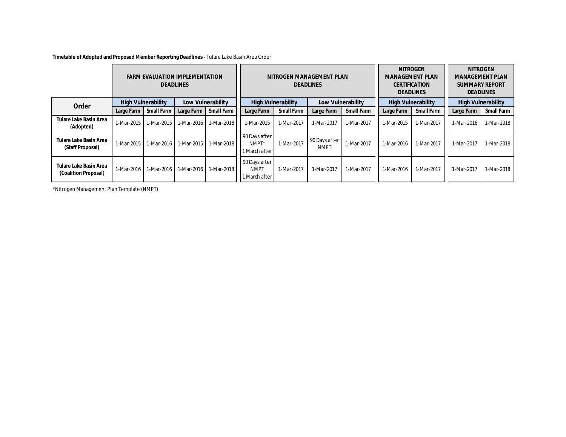**Timetable of Adopted and Proposed Member Reporting Deadlines** - Tulare Lake Basin Area Order

|                                                       | <b>FARM EVALUATION IMPLEMENTATION</b><br><b>DEADLINES</b> |            |                   | NITROGEN MANAGEMENT PLAN<br><b>DEADLINES</b> |                                               |                   |                              | <b>NITROGEN</b><br><b>MANAGEMENT PLAN</b><br><b>CERTIFICATION</b><br><b>DEADLINES</b> |                           | <b>NITROGEN</b><br><b>MANAGEMENT PLAN</b><br><b>SUMMARY REPORT</b><br><b>DEADLINES</b> |                           |            |
|-------------------------------------------------------|-----------------------------------------------------------|------------|-------------------|----------------------------------------------|-----------------------------------------------|-------------------|------------------------------|---------------------------------------------------------------------------------------|---------------------------|----------------------------------------------------------------------------------------|---------------------------|------------|
| Order                                                 | <b>High Vulnerability</b>                                 |            | Low Vulnerability |                                              | <b>High Vulnerability</b>                     |                   | Low Vulnerability            |                                                                                       | <b>High Vulnerability</b> |                                                                                        | <b>High Vulnerability</b> |            |
|                                                       | Large Farm                                                | Small Farm | Large Farm        | Small Farm                                   | Large Farm                                    | <b>Small Farm</b> | Large Farm                   | <b>Small Farm</b>                                                                     | Large Farm                | Small Farm                                                                             | Large Farm                | Small Farm |
| <b>Tulare Lake Basin Area</b><br>(Adopted)            | 1-Mar-2015                                                | 1-Mar-2015 | 1-Mar-2016        | 1-Mar-2018                                   | 1-Mar-2015                                    | 1-Mar-2017        | 1-Mar-2017                   | 1-Mar-2017                                                                            | 1-Mar-2015                | 1-Mar-2017                                                                             | 1-Mar-2016                | 1-Mar-2018 |
| <b>Tulare Lake Basin Area</b><br>(Staff Proposal)     | 1-Mar-2015                                                | 1-Mar-2016 | 1-Mar-2015        | 1-Mar-2018                                   | 90 Days after<br>NMPT*<br>I March after       | 1-Mar-2017        | 90 Days after<br><b>NMPT</b> | 1-Mar-2017                                                                            | 1-Mar-2016                | 1-Mar-2017                                                                             | 1-Mar-2017                | 1-Mar-2018 |
| <b>Tulare Lake Basin Area</b><br>(Coalition Proposal) | 1-Mar-2016                                                | 1-Mar-2016 | 1-Mar-2016        | 1-Mar-2018                                   | 90 Days after<br><b>NMPT</b><br>I March after | 1-Mar-2017        | 1-Mar-2017                   | 1-Mar-2017                                                                            | 1-Mar-2016                | 1-Mar-2017                                                                             | 1-Mar-2017                | 1-Mar-2018 |

\*Nitrogen Management Plan Template (NMPT)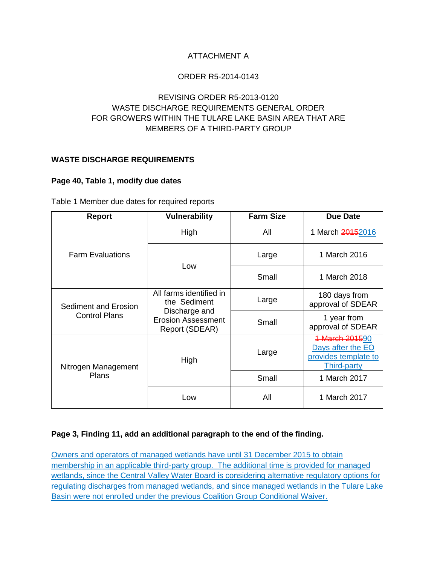# ATTACHMENT A

## ORDER R5-2014-0143

# REVISING ORDER R5-2013-0120 WASTE DISCHARGE REQUIREMENTS GENERAL ORDER FOR GROWERS WITHIN THE TULARE LAKE BASIN AREA THAT ARE MEMBERS OF A THIRD-PARTY GROUP

## **WASTE DISCHARGE REQUIREMENTS**

### **Page 40, Table 1, modify due dates**

|  |  |  | Table 1 Member due dates for required reports |  |
|--|--|--|-----------------------------------------------|--|
|--|--|--|-----------------------------------------------|--|

| <b>Report</b>           | <b>Vulnerability</b>                                         | <b>Farm Size</b> | <b>Due Date</b>                                                                   |  |
|-------------------------|--------------------------------------------------------------|------------------|-----------------------------------------------------------------------------------|--|
|                         | High                                                         | All              | 1 March 20152016                                                                  |  |
| <b>Farm Evaluations</b> | Low                                                          | Large            | 1 March 2016                                                                      |  |
|                         |                                                              | Small            | 1 March 2018                                                                      |  |
| Sediment and Erosion    | All farms identified in<br>the Sediment                      | Large            | 180 days from<br>approval of SDEAR                                                |  |
| <b>Control Plans</b>    | Discharge and<br><b>Erosion Assessment</b><br>Report (SDEAR) | Small            | 1 year from<br>approval of SDEAR                                                  |  |
| Nitrogen Management     | High                                                         | Large            | 1 March 201590<br>Days after the EO<br>provides template to<br><b>Third-party</b> |  |
| Plans                   |                                                              | Small            | 1 March 2017                                                                      |  |
|                         | Low                                                          | All              | 1 March 2017                                                                      |  |

### **Page 3, Finding 11, add an additional paragraph to the end of the finding.**

Owners and operators of managed wetlands have until 31 December 2015 to obtain membership in an applicable third-party group. The additional time is provided for managed wetlands, since the Central Valley Water Board is considering alternative regulatory options for regulating discharges from managed wetlands, and since managed wetlands in the Tulare Lake Basin were not enrolled under the previous Coalition Group Conditional Waiver.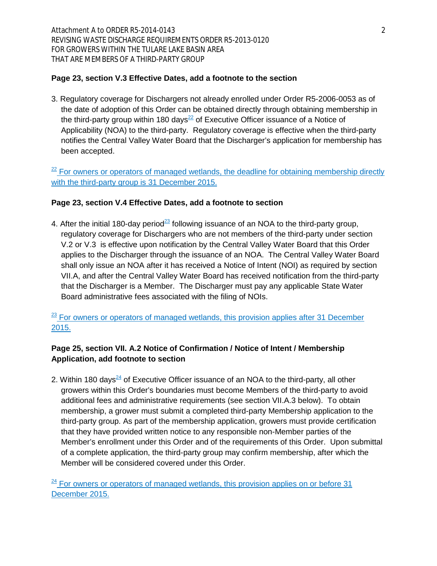Attachment A to ORDER R5-2014-0143 2 REVISING WASTE DISCHARGE REQUIREMENTS ORDER R5-2013-0120 FOR GROWERS WITHIN THE TULARE LAKE BASIN AREA THAT ARE MEMBERS OF A THIRD-PARTY GROUP

## **Page 23, section V.3 Effective Dates, add a footnote to the section**

3. Regulatory coverage for Dischargers not already enrolled under Order R5-2006-0053 as of the date of adoption of this Order can be obtained directly through obtaining membership in the third-party group within 180 days<sup>22</sup> of Executive Officer issuance of a Notice of Applicability (NOA) to the third-party. Regulatory coverage is effective when the third-party notifies the Central Valley Water Board that the Discharger's application for membership has been accepted.

 $22$  For owners or operators of managed wetlands, the deadline for obtaining membership directly with the third-party group is 31 December 2015.

## **Page 23, section V.4 Effective Dates, add a footnote to section**

4. After the initial 180-day period<sup>23</sup> following issuance of an NOA to the third-party group, regulatory coverage for Dischargers who are not members of the third-party under section V.2 or V.3 is effective upon notification by the Central Valley Water Board that this Order applies to the Discharger through the issuance of an NOA. The Central Valley Water Board shall only issue an NOA after it has received a Notice of Intent (NOI) as required by section VII.A, and after the Central Valley Water Board has received notification from the third-party that the Discharger is a Member. The Discharger must pay any applicable State Water Board administrative fees associated with the filing of NOIs.

 $\frac{23}{2}$  For owners or operators of managed wetlands, this provision applies after 31 December 2015.

# **Page 25, section VII. A.2 Notice of Confirmation / Notice of Intent / Membership Application, add footnote to section**

2. Within 180 days<sup>24</sup> of Executive Officer issuance of an NOA to the third-party, all other growers within this Order's boundaries must become Members of the third-party to avoid additional fees and administrative requirements (see section VII.A.3 below). To obtain membership, a grower must submit a completed third-party Membership application to the third-party group. As part of the membership application, growers must provide certification that they have provided written notice to any responsible non-Member parties of the Member's enrollment under this Order and of the requirements of this Order. Upon submittal of a complete application, the third-party group may confirm membership, after which the Member will be considered covered under this Order.

 $24$  For owners or operators of managed wetlands, this provision applies on or before 31 December 2015.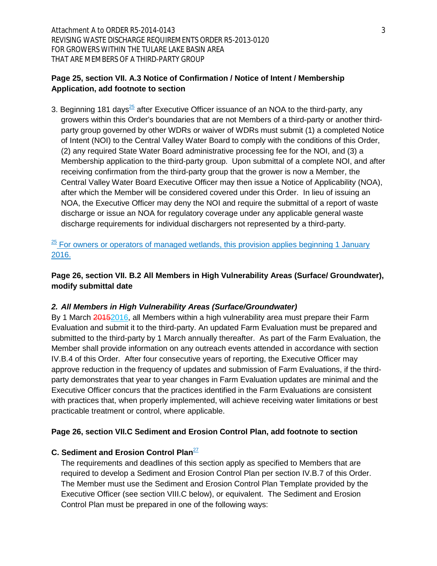Attachment A to ORDER R5-2014-0143 3 REVISING WASTE DISCHARGE REQUIREMENTS ORDER R5-2013-0120 FOR GROWERS WITHIN THE TULARE LAKE BASIN AREA THAT ARE MEMBERS OF A THIRD-PARTY GROUP

## **Page 25, section VII. A.3 Notice of Confirmation / Notice of Intent / Membership Application, add footnote to section**

3. Beginning 181 days<sup>25</sup> after Executive Officer issuance of an NOA to the third-party, any growers within this Order's boundaries that are not Members of a third-party or another thirdparty group governed by other WDRs or waiver of WDRs must submit (1) a completed Notice of Intent (NOI) to the Central Valley Water Board to comply with the conditions of this Order, (2) any required State Water Board administrative processing fee for the NOI, and (3) a Membership application to the third-party group. Upon submittal of a complete NOI, and after receiving confirmation from the third-party group that the grower is now a Member, the Central Valley Water Board Executive Officer may then issue a Notice of Applicability (NOA), after which the Member will be considered covered under this Order. In lieu of issuing an NOA, the Executive Officer may deny the NOI and require the submittal of a report of waste discharge or issue an NOA for regulatory coverage under any applicable general waste discharge requirements for individual dischargers not represented by a third-party.

 $\frac{25}{25}$  For owners or operators of managed wetlands, this provision applies beginning 1 January 2016.

**Page 26, section VII. B.2 All Members in High Vulnerability Areas (Surface/ Groundwater), modify submittal date**

#### *2. All Members in High Vulnerability Areas (Surface/Groundwater)*

By 1 March 20152016, all Members within a high vulnerability area must prepare their Farm Evaluation and submit it to the third-party. An updated Farm Evaluation must be prepared and submitted to the third-party by 1 March annually thereafter. As part of the Farm Evaluation, the Member shall provide information on any outreach events attended in accordance with section IV.B.4 of this Order. After four consecutive years of reporting, the Executive Officer may approve reduction in the frequency of updates and submission of Farm Evaluations, if the thirdparty demonstrates that year to year changes in Farm Evaluation updates are minimal and the Executive Officer concurs that the practices identified in the Farm Evaluations are consistent with practices that, when properly implemented, will achieve receiving water limitations or best practicable treatment or control, where applicable.

#### **Page 26, section VII.C Sediment and Erosion Control Plan, add footnote to section**

# **C.** Sediment and Erosion Control Plan<sup>27</sup>

The requirements and deadlines of this section apply as specified to Members that are required to develop a Sediment and Erosion Control Plan per section IV.B.7 of this Order. The Member must use the Sediment and Erosion Control Plan Template provided by the Executive Officer (see section VIII.C below), or equivalent. The Sediment and Erosion Control Plan must be prepared in one of the following ways: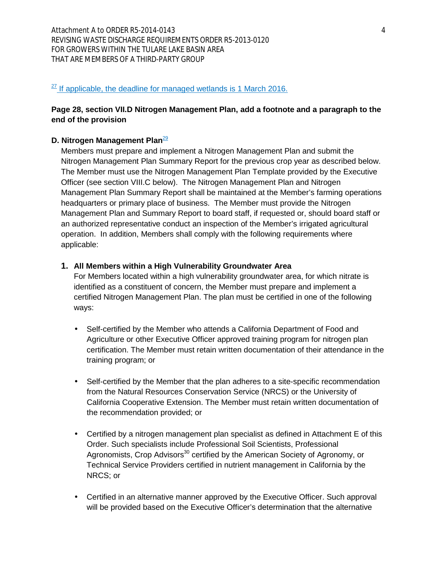## $27$  If applicable, the deadline for managed wetlands is 1 March 2016.

# **Page 28, section VII.D Nitrogen Management Plan, add a footnote and a paragraph to the end of the provision**

#### **D. Nitrogen Management Plan**<sup>29</sup>

Members must prepare and implement a Nitrogen Management Plan and submit the Nitrogen Management Plan Summary Report for the previous crop year as described below. The Member must use the Nitrogen Management Plan Template provided by the Executive Officer (see section VIII.C below). The Nitrogen Management Plan and Nitrogen Management Plan Summary Report shall be maintained at the Member's farming operations headquarters or primary place of business. The Member must provide the Nitrogen Management Plan and Summary Report to board staff, if requested or, should board staff or an authorized representative conduct an inspection of the Member's irrigated agricultural operation. In addition, Members shall comply with the following requirements where applicable:

#### **1. All Members within a High Vulnerability Groundwater Area**

For Members located within a high vulnerability groundwater area, for which nitrate is identified as a constituent of concern, the Member must prepare and implement a certified Nitrogen Management Plan. The plan must be certified in one of the following ways:

- $\mathcal{L}^{\text{max}}$ Self-certified by the Member who attends a California Department of Food and Agriculture or other Executive Officer approved training program for nitrogen plan certification. The Member must retain written documentation of their attendance in the training program; or
- Self-certified by the Member that the plan adheres to a site-specific recommendation from the Natural Resources Conservation Service (NRCS) or the University of California Cooperative Extension. The Member must retain written documentation of the recommendation provided; or
- Certified by a nitrogen management plan specialist as defined in Attachment E of this Order. Such specialists include Professional Soil Scientists, Professional Agronomists, Crop Advisors<sup>30</sup> certified by the American Society of Agronomy, or Technical Service Providers certified in nutrient management in California by the NRCS; or
- Certified in an alternative manner approved by the Executive Officer. Such approval  $\mathcal{L}^{\text{max}}$ will be provided based on the Executive Officer's determination that the alternative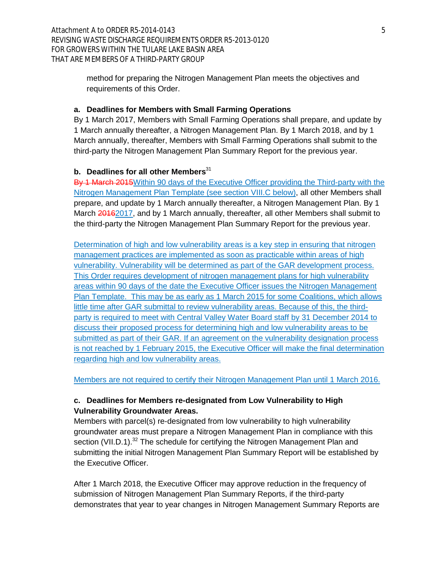method for preparing the Nitrogen Management Plan meets the objectives and requirements of this Order.

### **a. Deadlines for Members with Small Farming Operations**

By 1 March 2017, Members with Small Farming Operations shall prepare, and update by 1 March annually thereafter, a Nitrogen Management Plan. By 1 March 2018, and by 1 March annually, thereafter, Members with Small Farming Operations shall submit to the third-party the Nitrogen Management Plan Summary Report for the previous year.

## **b.** Deadlines for all other Members<sup>31</sup>

By 1 March 2015 Within 90 days of the Executive Officer providing the Third-party with the Nitrogen Management Plan Template (see section VIII.C below), all other Members shall prepare, and update by 1 March annually thereafter, a Nitrogen Management Plan. By 1 March 20162017, and by 1 March annually, thereafter, all other Members shall submit to the third-party the Nitrogen Management Plan Summary Report for the previous year.

Determination of high and low vulnerability areas is a key step in ensuring that nitrogen management practices are implemented as soon as practicable within areas of high vulnerability. Vulnerability will be determined as part of the GAR development process. This Order requires development of nitrogen management plans for high vulnerability areas within 90 days of the date the Executive Officer issues the Nitrogen Management Plan Template. This may be as early as 1 March 2015 for some Coalitions, which allows little time after GAR submittal to review vulnerability areas. Because of this, the thirdparty is required to meet with Central Valley Water Board staff by 31 December 2014 to discuss their proposed process for determining high and low vulnerability areas to be submitted as part of their GAR. If an agreement on the vulnerability designation process is not reached by 1 February 2015, the Executive Officer will make the final determination regarding high and low vulnerability areas.

Members are not required to certify their Nitrogen Management Plan until 1 March 2016.

# **c. Deadlines for Members re-designated from Low Vulnerability to High Vulnerability Groundwater Areas.**

Members with parcel(s) re-designated from low vulnerability to high vulnerability groundwater areas must prepare a Nitrogen Management Plan in compliance with this section (VII.D.1).<sup>32</sup> The schedule for certifying the Nitrogen Management Plan and submitting the initial Nitrogen Management Plan Summary Report will be established by the Executive Officer.

After 1 March 2018, the Executive Officer may approve reduction in the frequency of submission of Nitrogen Management Plan Summary Reports, if the third-party demonstrates that year to year changes in Nitrogen Management Summary Reports are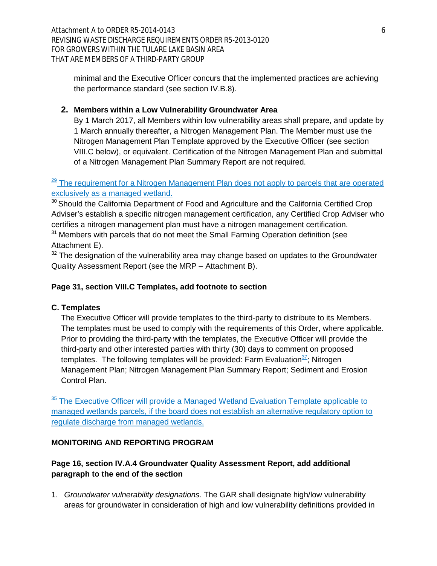Attachment A to ORDER R5-2014-0143 6 REVISING WASTE DISCHARGE REQUIREMENTS ORDER R5-2013-0120 FOR GROWERS WITHIN THE TULARE LAKE BASIN AREA THAT ARE MEMBERS OF A THIRD-PARTY GROUP

minimal and the Executive Officer concurs that the implemented practices are achieving the performance standard (see section IV.B.8).

# **2. Members within a Low Vulnerability Groundwater Area**

By 1 March 2017, all Members within low vulnerability areas shall prepare, and update by 1 March annually thereafter, a Nitrogen Management Plan. The Member must use the Nitrogen Management Plan Template approved by the Executive Officer (see section VIII.C below), or equivalent. Certification of the Nitrogen Management Plan and submittal of a Nitrogen Management Plan Summary Report are not required.

# $\frac{29}{2}$  The requirement for a Nitrogen Management Plan does not apply to parcels that are operated exclusively as a managed wetland.

 $30$  Should the California Department of Food and Agriculture and the California Certified Crop Adviser's establish a specific nitrogen management certification, any Certified Crop Adviser who certifies a nitrogen management plan must have a nitrogen management certification.

 $31$  Members with parcels that do not meet the Small Farming Operation definition (see Attachment E).

 $32$  The designation of the vulnerability area may change based on updates to the Groundwater Quality Assessment Report (see the MRP – Attachment B).

# **Page 31, section VIII.C Templates, add footnote to section**

### **C. Templates**

The Executive Officer will provide templates to the third-party to distribute to its Members. The templates must be used to comply with the requirements of this Order, where applicable. Prior to providing the third-party with the templates, the Executive Officer will provide the third-party and other interested parties with thirty (30) days to comment on proposed templates. The following templates will be provided: Farm Evaluation $\frac{37}{2}$ ; Nitrogen Management Plan; Nitrogen Management Plan Summary Report; Sediment and Erosion Control Plan.

 $\frac{35}{2}$  The Executive Officer will provide a Managed Wetland Evaluation Template applicable to managed wetlands parcels, if the board does not establish an alternative regulatory option to regulate discharge from managed wetlands.

### **MONITORING AND REPORTING PROGRAM**

# **Page 16, section IV.A.4 Groundwater Quality Assessment Report, add additional paragraph to the end of the section**

1. *Groundwater vulnerability designations*. The GAR shall designate high/low vulnerability areas for groundwater in consideration of high and low vulnerability definitions provided in